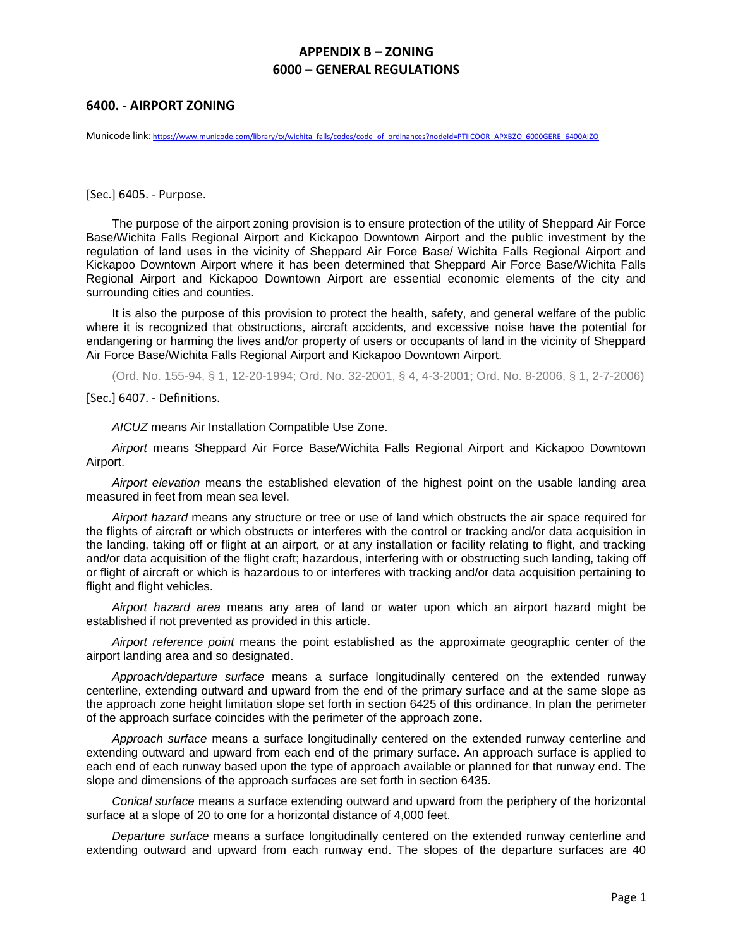## **6400. - AIRPORT ZONING**

Municode link: [https://www.municode.com/library/tx/wichita\\_falls/codes/code\\_of\\_ordinances?nodeId=PTIICOOR\\_APXBZO\\_6000GERE\\_6400AIZO](https://www.municode.com/library/tx/wichita_falls/codes/code_of_ordinances?nodeId=PTIICOOR_APXBZO_6000GERE_6400AIZO)

[Sec.] 6405. - Purpose.

The purpose of the airport zoning provision is to ensure protection of the utility of Sheppard Air Force Base/Wichita Falls Regional Airport and Kickapoo Downtown Airport and the public investment by the regulation of land uses in the vicinity of Sheppard Air Force Base/ Wichita Falls Regional Airport and Kickapoo Downtown Airport where it has been determined that Sheppard Air Force Base/Wichita Falls Regional Airport and Kickapoo Downtown Airport are essential economic elements of the city and surrounding cities and counties.

It is also the purpose of this provision to protect the health, safety, and general welfare of the public where it is recognized that obstructions, aircraft accidents, and excessive noise have the potential for endangering or harming the lives and/or property of users or occupants of land in the vicinity of Sheppard Air Force Base/Wichita Falls Regional Airport and Kickapoo Downtown Airport.

(Ord. No. 155-94, § 1, 12-20-1994; Ord. No. 32-2001, § 4, 4-3-2001; Ord. No. 8-2006, § 1, 2-7-2006)

[Sec.] 6407. - Definitions.

*AICUZ* means Air Installation Compatible Use Zone.

*Airport* means Sheppard Air Force Base/Wichita Falls Regional Airport and Kickapoo Downtown Airport.

*Airport elevation* means the established elevation of the highest point on the usable landing area measured in feet from mean sea level.

*Airport hazard* means any structure or tree or use of land which obstructs the air space required for the flights of aircraft or which obstructs or interferes with the control or tracking and/or data acquisition in the landing, taking off or flight at an airport, or at any installation or facility relating to flight, and tracking and/or data acquisition of the flight craft; hazardous, interfering with or obstructing such landing, taking off or flight of aircraft or which is hazardous to or interferes with tracking and/or data acquisition pertaining to flight and flight vehicles.

*Airport hazard area* means any area of land or water upon which an airport hazard might be established if not prevented as provided in this article.

*Airport reference point* means the point established as the approximate geographic center of the airport landing area and so designated.

*Approach/departure surface* means a surface longitudinally centered on the extended runway centerline, extending outward and upward from the end of the primary surface and at the same slope as the approach zone height limitation slope set forth in section 6425 of this ordinance. In plan the perimeter of the approach surface coincides with the perimeter of the approach zone.

*Approach surface* means a surface longitudinally centered on the extended runway centerline and extending outward and upward from each end of the primary surface. An approach surface is applied to each end of each runway based upon the type of approach available or planned for that runway end. The slope and dimensions of the approach surfaces are set forth in section 6435.

*Conical surface* means a surface extending outward and upward from the periphery of the horizontal surface at a slope of 20 to one for a horizontal distance of 4,000 feet.

*Departure surface* means a surface longitudinally centered on the extended runway centerline and extending outward and upward from each runway end. The slopes of the departure surfaces are 40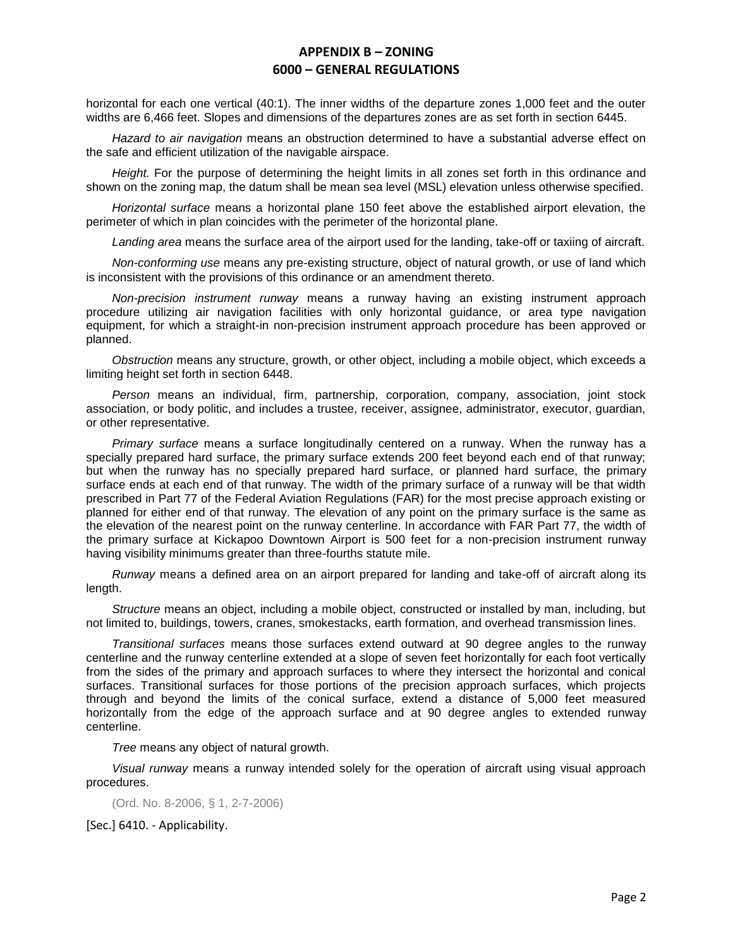horizontal for each one vertical (40:1). The inner widths of the departure zones 1,000 feet and the outer widths are 6,466 feet. Slopes and dimensions of the departures zones are as set forth in section 6445.

*Hazard to air navigation* means an obstruction determined to have a substantial adverse effect on the safe and efficient utilization of the navigable airspace.

*Height.* For the purpose of determining the height limits in all zones set forth in this ordinance and shown on the zoning map, the datum shall be mean sea level (MSL) elevation unless otherwise specified.

*Horizontal surface* means a horizontal plane 150 feet above the established airport elevation, the perimeter of which in plan coincides with the perimeter of the horizontal plane.

*Landing area* means the surface area of the airport used for the landing, take-off or taxiing of aircraft.

*Non-conforming use* means any pre-existing structure, object of natural growth, or use of land which is inconsistent with the provisions of this ordinance or an amendment thereto.

*Non-precision instrument runway* means a runway having an existing instrument approach procedure utilizing air navigation facilities with only horizontal guidance, or area type navigation equipment, for which a straight-in non-precision instrument approach procedure has been approved or planned.

*Obstruction* means any structure, growth, or other object, including a mobile object, which exceeds a limiting height set forth in section 6448.

*Person* means an individual, firm, partnership, corporation, company, association, joint stock association, or body politic, and includes a trustee, receiver, assignee, administrator, executor, guardian, or other representative.

*Primary surface* means a surface longitudinally centered on a runway. When the runway has a specially prepared hard surface, the primary surface extends 200 feet beyond each end of that runway; but when the runway has no specially prepared hard surface, or planned hard surface, the primary surface ends at each end of that runway. The width of the primary surface of a runway will be that width prescribed in Part 77 of the Federal Aviation Regulations (FAR) for the most precise approach existing or planned for either end of that runway. The elevation of any point on the primary surface is the same as the elevation of the nearest point on the runway centerline. In accordance with FAR Part 77, the width of the primary surface at Kickapoo Downtown Airport is 500 feet for a non-precision instrument runway having visibility minimums greater than three-fourths statute mile.

*Runway* means a defined area on an airport prepared for landing and take-off of aircraft along its length.

*Structure* means an object, including a mobile object, constructed or installed by man, including, but not limited to, buildings, towers, cranes, smokestacks, earth formation, and overhead transmission lines.

*Transitional surfaces* means those surfaces extend outward at 90 degree angles to the runway centerline and the runway centerline extended at a slope of seven feet horizontally for each foot vertically from the sides of the primary and approach surfaces to where they intersect the horizontal and conical surfaces. Transitional surfaces for those portions of the precision approach surfaces, which projects through and beyond the limits of the conical surface, extend a distance of 5,000 feet measured horizontally from the edge of the approach surface and at 90 degree angles to extended runway centerline.

*Tree* means any object of natural growth.

*Visual runway* means a runway intended solely for the operation of aircraft using visual approach procedures.

(Ord. No. 8-2006, § 1, 2-7-2006)

[Sec.] 6410. - Applicability.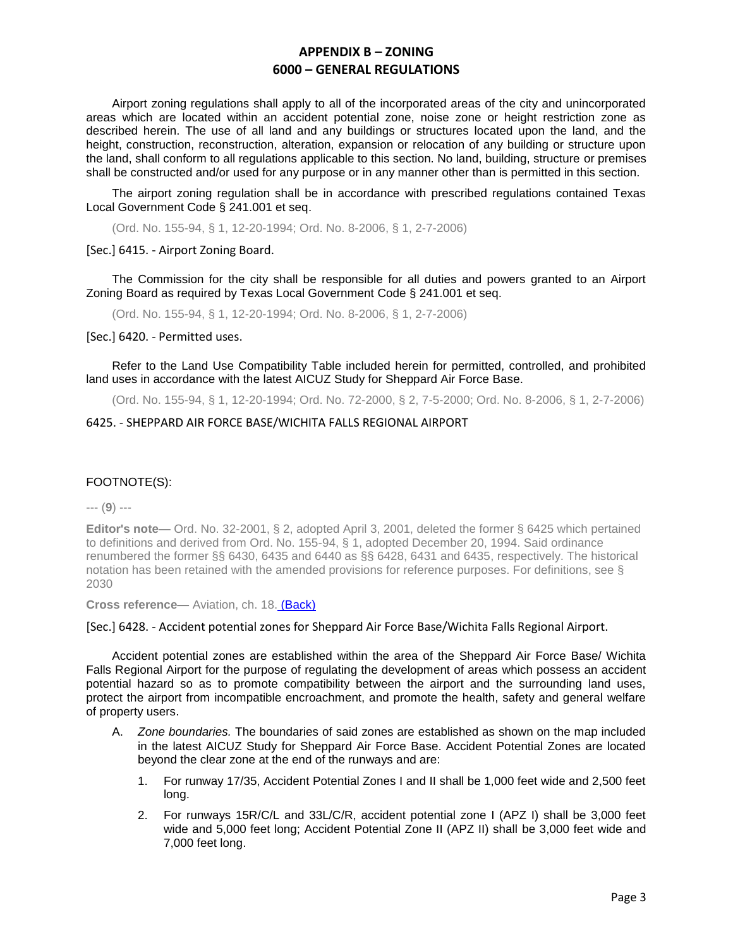Airport zoning regulations shall apply to all of the incorporated areas of the city and unincorporated areas which are located within an accident potential zone, noise zone or height restriction zone as described herein. The use of all land and any buildings or structures located upon the land, and the height, construction, reconstruction, alteration, expansion or relocation of any building or structure upon the land, shall conform to all regulations applicable to this section. No land, building, structure or premises shall be constructed and/or used for any purpose or in any manner other than is permitted in this section.

The airport zoning regulation shall be in accordance with prescribed regulations contained Texas Local Government Code § 241.001 et seq.

(Ord. No. 155-94, § 1, 12-20-1994; Ord. No. 8-2006, § 1, 2-7-2006)

[Sec.] 6415. - Airport Zoning Board.

The Commission for the city shall be responsible for all duties and powers granted to an Airport Zoning Board as required by Texas Local Government Code § 241.001 et seq.

(Ord. No. 155-94, § 1, 12-20-1994; Ord. No. 8-2006, § 1, 2-7-2006)

[Sec.] 6420. - Permitted uses.

Refer to the Land Use Compatibility Table included herein for permitted, controlled, and prohibited land uses in accordance with the latest AICUZ Study for Sheppard Air Force Base.

(Ord. No. 155-94, § 1, 12-20-1994; Ord. No. 72-2000, § 2, 7-5-2000; Ord. No. 8-2006, § 1, 2-7-2006)

#### 6425. - SHEPPARD AIR FORCE BASE/WICHITA FALLS REGIONAL AIRPORT

#### FOOTNOTE(S):

--- (**9**) ---

**Editor's note—** Ord. No. 32-2001, § 2, adopted April 3, 2001, deleted the former § 6425 which pertained to definitions and derived from Ord. No. 155-94, § 1, adopted December 20, 1994. Said ordinance renumbered the former §§ 6430, 6435 and 6440 as §§ 6428, 6431 and 6435, respectively. The historical notation has been retained with the amended provisions for reference purposes. For definitions, see § 2030

**Cross reference—** Aviation, ch. 18. (Back)

[Sec.] 6428. - Accident potential zones for Sheppard Air Force Base/Wichita Falls Regional Airport.

Accident potential zones are established within the area of the Sheppard Air Force Base/ Wichita Falls Regional Airport for the purpose of regulating the development of areas which possess an accident potential hazard so as to promote compatibility between the airport and the surrounding land uses, protect the airport from incompatible encroachment, and promote the health, safety and general welfare of property users.

- A. *Zone boundaries.* The boundaries of said zones are established as shown on the map included in the latest AICUZ Study for Sheppard Air Force Base. Accident Potential Zones are located beyond the clear zone at the end of the runways and are:
	- 1. For runway 17/35, Accident Potential Zones I and II shall be 1,000 feet wide and 2,500 feet long.
	- 2. For runways 15R/C/L and 33L/C/R, accident potential zone I (APZ I) shall be 3,000 feet wide and 5,000 feet long; Accident Potential Zone II (APZ II) shall be 3,000 feet wide and 7,000 feet long.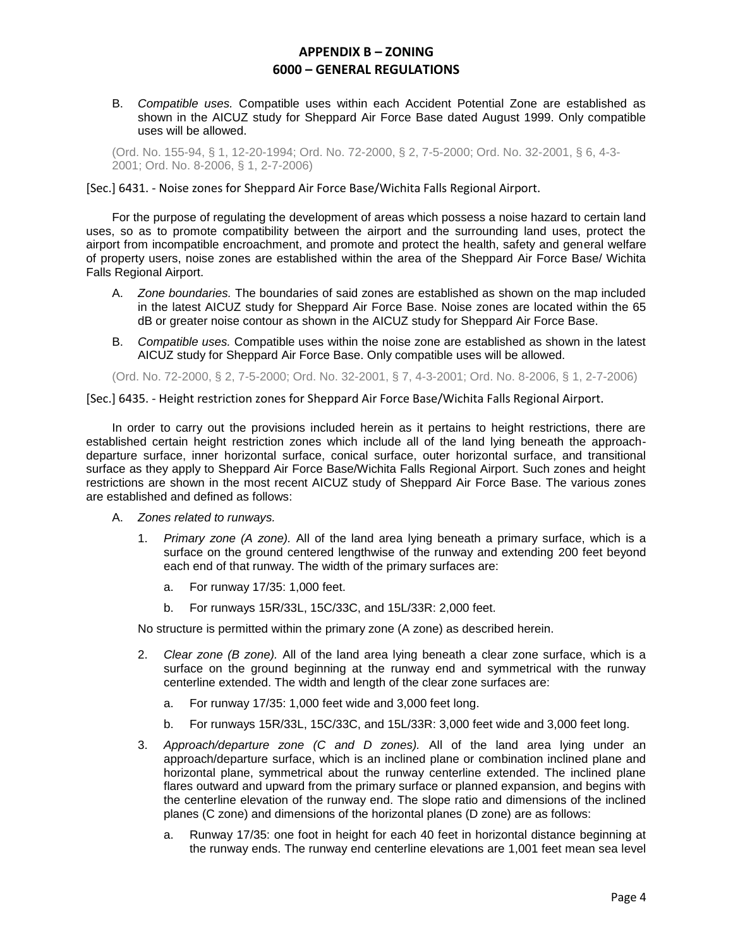B. *Compatible uses.* Compatible uses within each Accident Potential Zone are established as shown in the AICUZ study for Sheppard Air Force Base dated August 1999. Only compatible uses will be allowed.

(Ord. No. 155-94, § 1, 12-20-1994; Ord. No. 72-2000, § 2, 7-5-2000; Ord. No. 32-2001, § 6, 4-3- 2001; Ord. No. 8-2006, § 1, 2-7-2006)

[Sec.] 6431. - Noise zones for Sheppard Air Force Base/Wichita Falls Regional Airport.

For the purpose of regulating the development of areas which possess a noise hazard to certain land uses, so as to promote compatibility between the airport and the surrounding land uses, protect the airport from incompatible encroachment, and promote and protect the health, safety and general welfare of property users, noise zones are established within the area of the Sheppard Air Force Base/ Wichita Falls Regional Airport.

- A. *Zone boundaries.* The boundaries of said zones are established as shown on the map included in the latest AICUZ study for Sheppard Air Force Base. Noise zones are located within the 65 dB or greater noise contour as shown in the AICUZ study for Sheppard Air Force Base.
- B. *Compatible uses.* Compatible uses within the noise zone are established as shown in the latest AICUZ study for Sheppard Air Force Base. Only compatible uses will be allowed.

(Ord. No. 72-2000, § 2, 7-5-2000; Ord. No. 32-2001, § 7, 4-3-2001; Ord. No. 8-2006, § 1, 2-7-2006)

[Sec.] 6435. - Height restriction zones for Sheppard Air Force Base/Wichita Falls Regional Airport.

In order to carry out the provisions included herein as it pertains to height restrictions, there are established certain height restriction zones which include all of the land lying beneath the approachdeparture surface, inner horizontal surface, conical surface, outer horizontal surface, and transitional surface as they apply to Sheppard Air Force Base/Wichita Falls Regional Airport. Such zones and height restrictions are shown in the most recent AICUZ study of Sheppard Air Force Base. The various zones are established and defined as follows:

- A. *Zones related to runways.*
	- 1. *Primary zone (A zone).* All of the land area lying beneath a primary surface, which is a surface on the ground centered lengthwise of the runway and extending 200 feet beyond each end of that runway. The width of the primary surfaces are:
		- a. For runway 17/35: 1,000 feet.
		- b. For runways 15R/33L, 15C/33C, and 15L/33R: 2,000 feet.

No structure is permitted within the primary zone (A zone) as described herein.

- 2. *Clear zone (B zone).* All of the land area lying beneath a clear zone surface, which is a surface on the ground beginning at the runway end and symmetrical with the runway centerline extended. The width and length of the clear zone surfaces are:
	- a. For runway 17/35: 1,000 feet wide and 3,000 feet long.
	- b. For runways 15R/33L, 15C/33C, and 15L/33R: 3,000 feet wide and 3,000 feet long.
- 3. *Approach/departure zone (C and D zones).* All of the land area lying under an approach/departure surface, which is an inclined plane or combination inclined plane and horizontal plane, symmetrical about the runway centerline extended. The inclined plane flares outward and upward from the primary surface or planned expansion, and begins with the centerline elevation of the runway end. The slope ratio and dimensions of the inclined planes (C zone) and dimensions of the horizontal planes (D zone) are as follows:
	- a. Runway 17/35: one foot in height for each 40 feet in horizontal distance beginning at the runway ends. The runway end centerline elevations are 1,001 feet mean sea level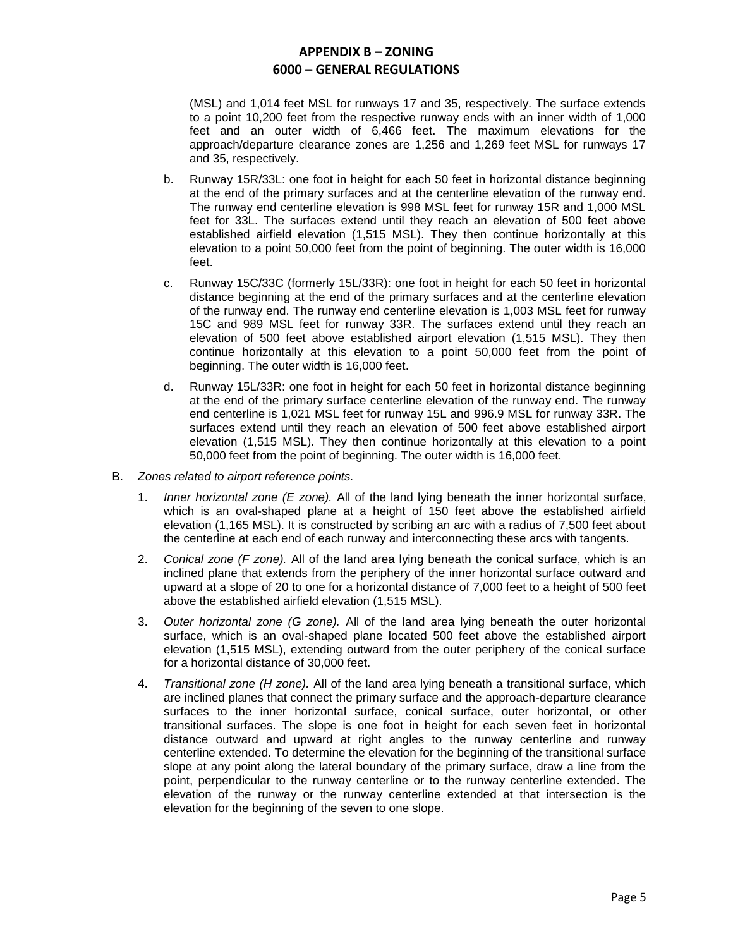(MSL) and 1,014 feet MSL for runways 17 and 35, respectively. The surface extends to a point 10,200 feet from the respective runway ends with an inner width of 1,000 feet and an outer width of 6,466 feet. The maximum elevations for the approach/departure clearance zones are 1,256 and 1,269 feet MSL for runways 17 and 35, respectively.

- b. Runway 15R/33L: one foot in height for each 50 feet in horizontal distance beginning at the end of the primary surfaces and at the centerline elevation of the runway end. The runway end centerline elevation is 998 MSL feet for runway 15R and 1,000 MSL feet for 33L. The surfaces extend until they reach an elevation of 500 feet above established airfield elevation (1,515 MSL). They then continue horizontally at this elevation to a point 50,000 feet from the point of beginning. The outer width is 16,000 feet.
- c. Runway 15C/33C (formerly 15L/33R): one foot in height for each 50 feet in horizontal distance beginning at the end of the primary surfaces and at the centerline elevation of the runway end. The runway end centerline elevation is 1,003 MSL feet for runway 15C and 989 MSL feet for runway 33R. The surfaces extend until they reach an elevation of 500 feet above established airport elevation (1,515 MSL). They then continue horizontally at this elevation to a point 50,000 feet from the point of beginning. The outer width is 16,000 feet.
- d. Runway 15L/33R: one foot in height for each 50 feet in horizontal distance beginning at the end of the primary surface centerline elevation of the runway end. The runway end centerline is 1,021 MSL feet for runway 15L and 996.9 MSL for runway 33R. The surfaces extend until they reach an elevation of 500 feet above established airport elevation (1,515 MSL). They then continue horizontally at this elevation to a point 50,000 feet from the point of beginning. The outer width is 16,000 feet.
- B. *Zones related to airport reference points.*
	- 1. *Inner horizontal zone (E zone).* All of the land lying beneath the inner horizontal surface, which is an oval-shaped plane at a height of 150 feet above the established airfield elevation (1,165 MSL). It is constructed by scribing an arc with a radius of 7,500 feet about the centerline at each end of each runway and interconnecting these arcs with tangents.
	- 2. *Conical zone (F zone).* All of the land area lying beneath the conical surface, which is an inclined plane that extends from the periphery of the inner horizontal surface outward and upward at a slope of 20 to one for a horizontal distance of 7,000 feet to a height of 500 feet above the established airfield elevation (1,515 MSL).
	- 3. *Outer horizontal zone (G zone).* All of the land area lying beneath the outer horizontal surface, which is an oval-shaped plane located 500 feet above the established airport elevation (1,515 MSL), extending outward from the outer periphery of the conical surface for a horizontal distance of 30,000 feet.
	- 4. *Transitional zone (H zone).* All of the land area lying beneath a transitional surface, which are inclined planes that connect the primary surface and the approach-departure clearance surfaces to the inner horizontal surface, conical surface, outer horizontal, or other transitional surfaces. The slope is one foot in height for each seven feet in horizontal distance outward and upward at right angles to the runway centerline and runway centerline extended. To determine the elevation for the beginning of the transitional surface slope at any point along the lateral boundary of the primary surface, draw a line from the point, perpendicular to the runway centerline or to the runway centerline extended. The elevation of the runway or the runway centerline extended at that intersection is the elevation for the beginning of the seven to one slope.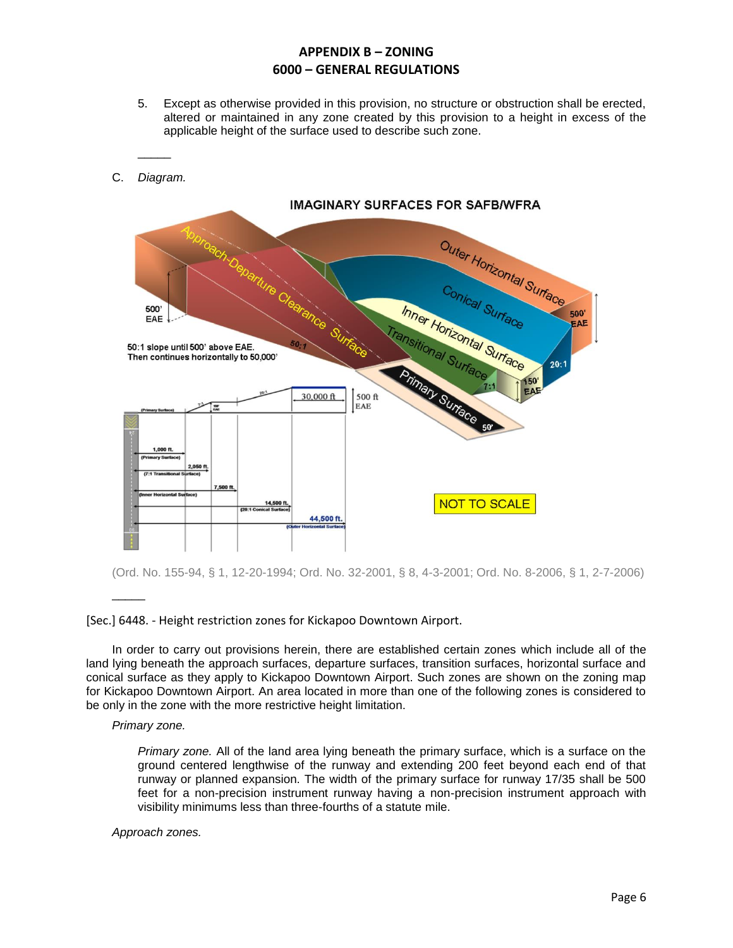- 5. Except as otherwise provided in this provision, no structure or obstruction shall be erected, altered or maintained in any zone created by this provision to a height in excess of the applicable height of the surface used to describe such zone.
- **IMAGINARY SURFACES FOR SAFB/WFRA** Outer Horizontal Surface Conical Surface Inner Horizontal Surface 500 500 EAE FAE ransitional 50:1 slope until 500' above EAE. Then continues horizontally to 50,000'  $20:1$ **Princip Surface**  $150'$ <br>FAE 30,000 ft 500 ft EAE **NOT TO SCALE** 44,500 ft

(Ord. No. 155-94, § 1, 12-20-1994; Ord. No. 32-2001, § 8, 4-3-2001; Ord. No. 8-2006, § 1, 2-7-2006)

#### [Sec.] 6448. - Height restriction zones for Kickapoo Downtown Airport.

In order to carry out provisions herein, there are established certain zones which include all of the land lying beneath the approach surfaces, departure surfaces, transition surfaces, horizontal surface and conical surface as they apply to Kickapoo Downtown Airport. Such zones are shown on the zoning map for Kickapoo Downtown Airport. An area located in more than one of the following zones is considered to be only in the zone with the more restrictive height limitation.

#### *Primary zone.*

 $\overline{\phantom{a}}$ 

\_\_\_\_\_

C. *Diagram.*

*Primary zone.* All of the land area lying beneath the primary surface, which is a surface on the ground centered lengthwise of the runway and extending 200 feet beyond each end of that runway or planned expansion. The width of the primary surface for runway 17/35 shall be 500 feet for a non-precision instrument runway having a non-precision instrument approach with visibility minimums less than three-fourths of a statute mile.

*Approach zones.*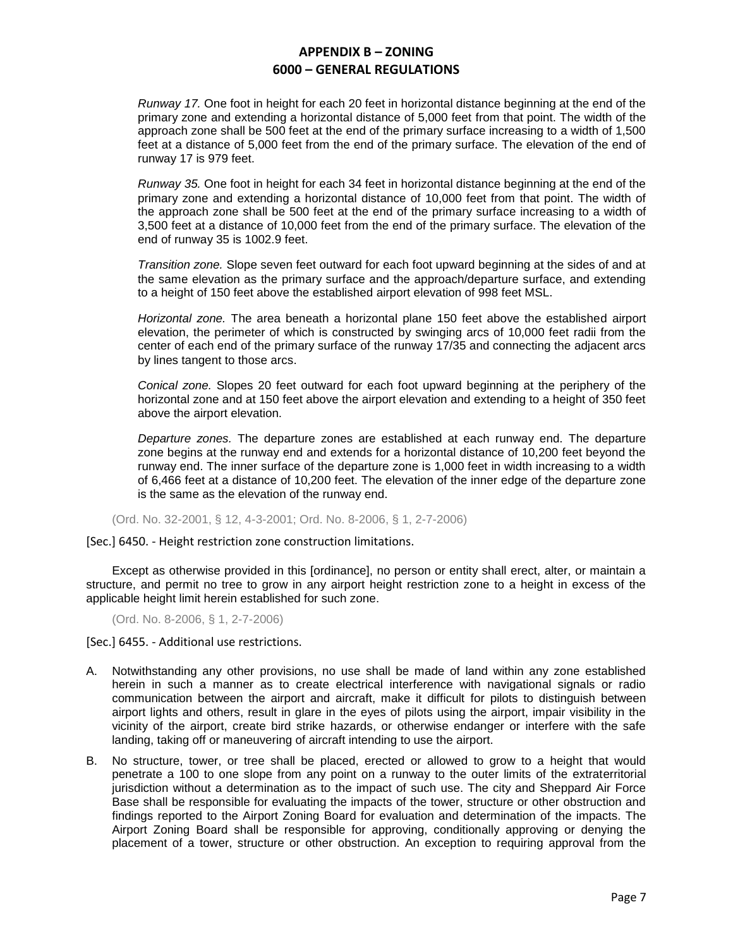*Runway 17.* One foot in height for each 20 feet in horizontal distance beginning at the end of the primary zone and extending a horizontal distance of 5,000 feet from that point. The width of the approach zone shall be 500 feet at the end of the primary surface increasing to a width of 1,500 feet at a distance of 5,000 feet from the end of the primary surface. The elevation of the end of runway 17 is 979 feet.

*Runway 35.* One foot in height for each 34 feet in horizontal distance beginning at the end of the primary zone and extending a horizontal distance of 10,000 feet from that point. The width of the approach zone shall be 500 feet at the end of the primary surface increasing to a width of 3,500 feet at a distance of 10,000 feet from the end of the primary surface. The elevation of the end of runway 35 is 1002.9 feet.

*Transition zone.* Slope seven feet outward for each foot upward beginning at the sides of and at the same elevation as the primary surface and the approach/departure surface, and extending to a height of 150 feet above the established airport elevation of 998 feet MSL.

*Horizontal zone.* The area beneath a horizontal plane 150 feet above the established airport elevation, the perimeter of which is constructed by swinging arcs of 10,000 feet radii from the center of each end of the primary surface of the runway 17/35 and connecting the adjacent arcs by lines tangent to those arcs.

*Conical zone.* Slopes 20 feet outward for each foot upward beginning at the periphery of the horizontal zone and at 150 feet above the airport elevation and extending to a height of 350 feet above the airport elevation.

*Departure zones.* The departure zones are established at each runway end. The departure zone begins at the runway end and extends for a horizontal distance of 10,200 feet beyond the runway end. The inner surface of the departure zone is 1,000 feet in width increasing to a width of 6,466 feet at a distance of 10,200 feet. The elevation of the inner edge of the departure zone is the same as the elevation of the runway end.

(Ord. No. 32-2001, § 12, 4-3-2001; Ord. No. 8-2006, § 1, 2-7-2006)

[Sec.] 6450. - Height restriction zone construction limitations.

Except as otherwise provided in this [ordinance], no person or entity shall erect, alter, or maintain a structure, and permit no tree to grow in any airport height restriction zone to a height in excess of the applicable height limit herein established for such zone.

(Ord. No. 8-2006, § 1, 2-7-2006)

[Sec.] 6455. - Additional use restrictions.

- A. Notwithstanding any other provisions, no use shall be made of land within any zone established herein in such a manner as to create electrical interference with navigational signals or radio communication between the airport and aircraft, make it difficult for pilots to distinguish between airport lights and others, result in glare in the eyes of pilots using the airport, impair visibility in the vicinity of the airport, create bird strike hazards, or otherwise endanger or interfere with the safe landing, taking off or maneuvering of aircraft intending to use the airport.
- B. No structure, tower, or tree shall be placed, erected or allowed to grow to a height that would penetrate a 100 to one slope from any point on a runway to the outer limits of the extraterritorial jurisdiction without a determination as to the impact of such use. The city and Sheppard Air Force Base shall be responsible for evaluating the impacts of the tower, structure or other obstruction and findings reported to the Airport Zoning Board for evaluation and determination of the impacts. The Airport Zoning Board shall be responsible for approving, conditionally approving or denying the placement of a tower, structure or other obstruction. An exception to requiring approval from the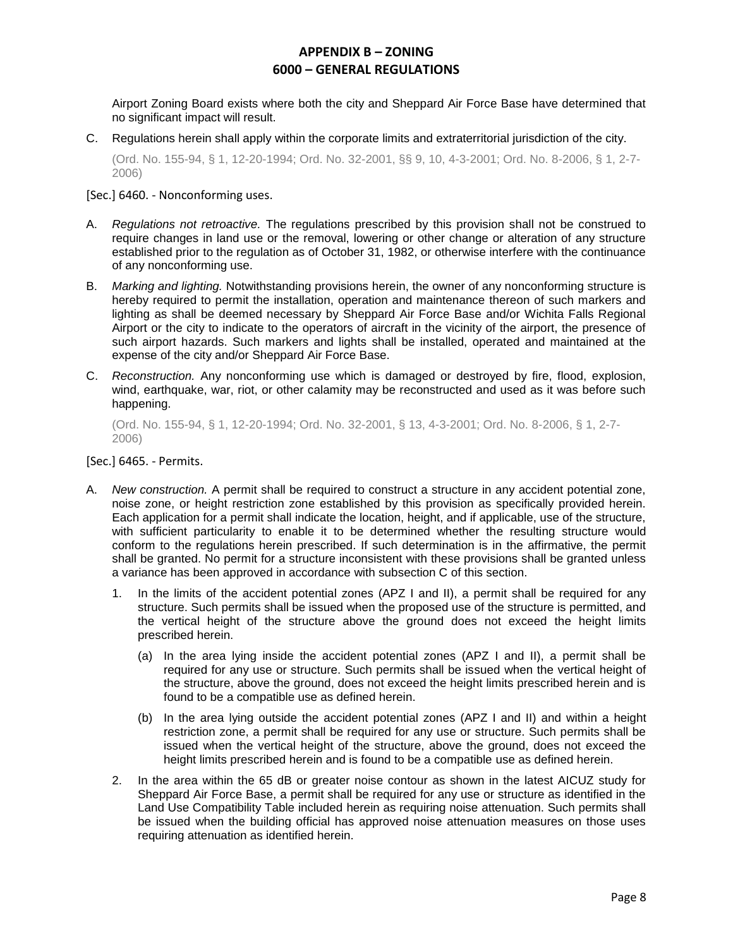Airport Zoning Board exists where both the city and Sheppard Air Force Base have determined that no significant impact will result.

C. Regulations herein shall apply within the corporate limits and extraterritorial jurisdiction of the city.

(Ord. No. 155-94, § 1, 12-20-1994; Ord. No. 32-2001, §§ 9, 10, 4-3-2001; Ord. No. 8-2006, § 1, 2-7- 2006)

[Sec.] 6460. - Nonconforming uses.

- A. *Regulations not retroactive.* The regulations prescribed by this provision shall not be construed to require changes in land use or the removal, lowering or other change or alteration of any structure established prior to the regulation as of October 31, 1982, or otherwise interfere with the continuance of any nonconforming use.
- B. *Marking and lighting.* Notwithstanding provisions herein, the owner of any nonconforming structure is hereby required to permit the installation, operation and maintenance thereon of such markers and lighting as shall be deemed necessary by Sheppard Air Force Base and/or Wichita Falls Regional Airport or the city to indicate to the operators of aircraft in the vicinity of the airport, the presence of such airport hazards. Such markers and lights shall be installed, operated and maintained at the expense of the city and/or Sheppard Air Force Base.
- C. *Reconstruction.* Any nonconforming use which is damaged or destroyed by fire, flood, explosion, wind, earthquake, war, riot, or other calamity may be reconstructed and used as it was before such happening.

(Ord. No. 155-94, § 1, 12-20-1994; Ord. No. 32-2001, § 13, 4-3-2001; Ord. No. 8-2006, § 1, 2-7- 2006)

[Sec.] 6465. - Permits.

- A. *New construction.* A permit shall be required to construct a structure in any accident potential zone, noise zone, or height restriction zone established by this provision as specifically provided herein. Each application for a permit shall indicate the location, height, and if applicable, use of the structure, with sufficient particularity to enable it to be determined whether the resulting structure would conform to the regulations herein prescribed. If such determination is in the affirmative, the permit shall be granted. No permit for a structure inconsistent with these provisions shall be granted unless a variance has been approved in accordance with subsection C of this section.
	- 1. In the limits of the accident potential zones (APZ I and II), a permit shall be required for any structure. Such permits shall be issued when the proposed use of the structure is permitted, and the vertical height of the structure above the ground does not exceed the height limits prescribed herein.
		- (a) In the area lying inside the accident potential zones (APZ I and II), a permit shall be required for any use or structure. Such permits shall be issued when the vertical height of the structure, above the ground, does not exceed the height limits prescribed herein and is found to be a compatible use as defined herein.
		- (b) In the area lying outside the accident potential zones (APZ I and II) and within a height restriction zone, a permit shall be required for any use or structure. Such permits shall be issued when the vertical height of the structure, above the ground, does not exceed the height limits prescribed herein and is found to be a compatible use as defined herein.
	- 2. In the area within the 65 dB or greater noise contour as shown in the latest AICUZ study for Sheppard Air Force Base, a permit shall be required for any use or structure as identified in the Land Use Compatibility Table included herein as requiring noise attenuation. Such permits shall be issued when the building official has approved noise attenuation measures on those uses requiring attenuation as identified herein.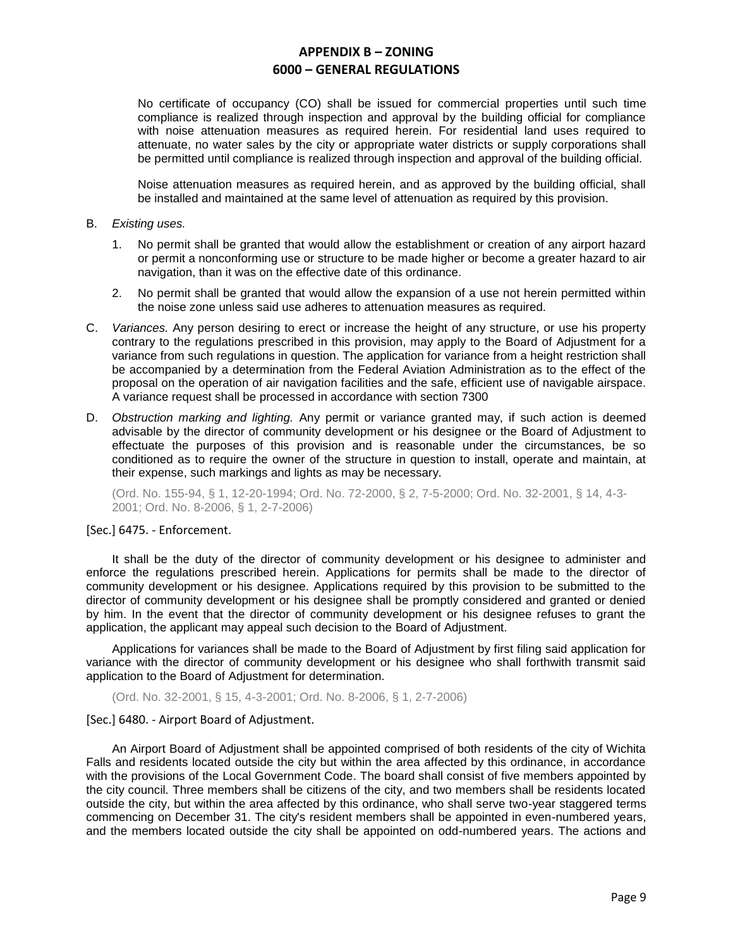No certificate of occupancy (CO) shall be issued for commercial properties until such time compliance is realized through inspection and approval by the building official for compliance with noise attenuation measures as required herein. For residential land uses required to attenuate, no water sales by the city or appropriate water districts or supply corporations shall be permitted until compliance is realized through inspection and approval of the building official.

Noise attenuation measures as required herein, and as approved by the building official, shall be installed and maintained at the same level of attenuation as required by this provision.

#### B. *Existing uses.*

- 1. No permit shall be granted that would allow the establishment or creation of any airport hazard or permit a nonconforming use or structure to be made higher or become a greater hazard to air navigation, than it was on the effective date of this ordinance.
- 2. No permit shall be granted that would allow the expansion of a use not herein permitted within the noise zone unless said use adheres to attenuation measures as required.
- C. *Variances.* Any person desiring to erect or increase the height of any structure, or use his property contrary to the regulations prescribed in this provision, may apply to the Board of Adjustment for a variance from such regulations in question. The application for variance from a height restriction shall be accompanied by a determination from the Federal Aviation Administration as to the effect of the proposal on the operation of air navigation facilities and the safe, efficient use of navigable airspace. A variance request shall be processed in accordance with section 7300
- D. *Obstruction marking and lighting.* Any permit or variance granted may, if such action is deemed advisable by the director of community development or his designee or the Board of Adjustment to effectuate the purposes of this provision and is reasonable under the circumstances, be so conditioned as to require the owner of the structure in question to install, operate and maintain, at their expense, such markings and lights as may be necessary.

(Ord. No. 155-94, § 1, 12-20-1994; Ord. No. 72-2000, § 2, 7-5-2000; Ord. No. 32-2001, § 14, 4-3- 2001; Ord. No. 8-2006, § 1, 2-7-2006)

## [Sec.] 6475. - Enforcement.

It shall be the duty of the director of community development or his designee to administer and enforce the regulations prescribed herein. Applications for permits shall be made to the director of community development or his designee. Applications required by this provision to be submitted to the director of community development or his designee shall be promptly considered and granted or denied by him. In the event that the director of community development or his designee refuses to grant the application, the applicant may appeal such decision to the Board of Adjustment.

Applications for variances shall be made to the Board of Adjustment by first filing said application for variance with the director of community development or his designee who shall forthwith transmit said application to the Board of Adjustment for determination.

(Ord. No. 32-2001, § 15, 4-3-2001; Ord. No. 8-2006, § 1, 2-7-2006)

[Sec.] 6480. - Airport Board of Adjustment.

An Airport Board of Adjustment shall be appointed comprised of both residents of the city of Wichita Falls and residents located outside the city but within the area affected by this ordinance, in accordance with the provisions of the Local Government Code. The board shall consist of five members appointed by the city council. Three members shall be citizens of the city, and two members shall be residents located outside the city, but within the area affected by this ordinance, who shall serve two-year staggered terms commencing on December 31. The city's resident members shall be appointed in even-numbered years, and the members located outside the city shall be appointed on odd-numbered years. The actions and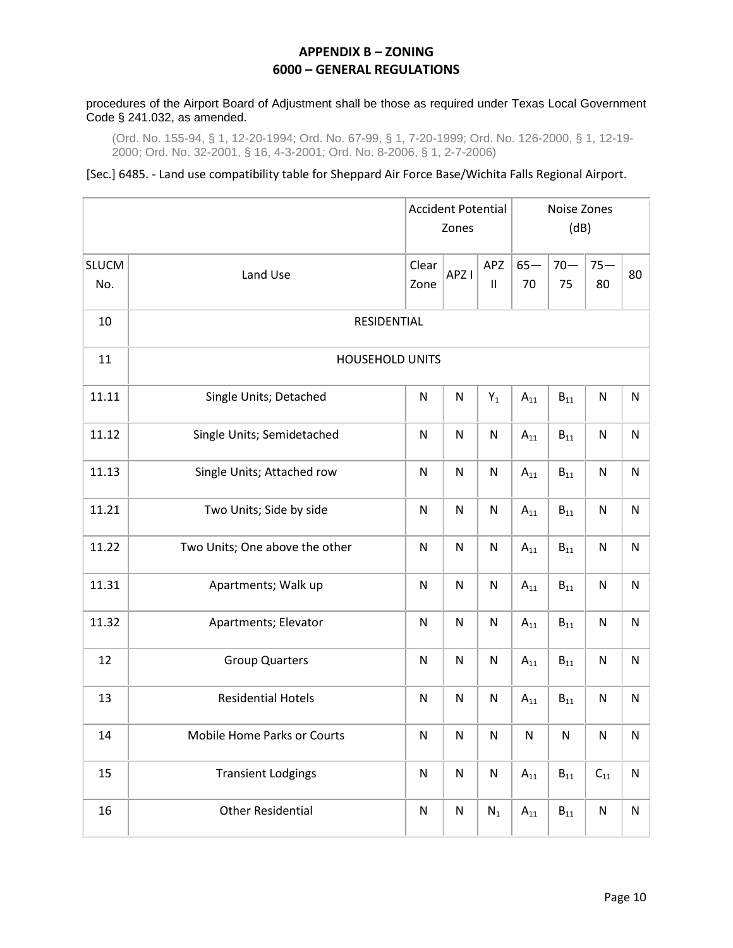## procedures of the Airport Board of Adjustment shall be those as required under Texas Local Government Code § 241.032, as amended.

(Ord. No. 155-94, § 1, 12-20-1994; Ord. No. 67-99, § 1, 7-20-1999; Ord. No. 126-2000, § 1, 12-19- 2000; Ord. No. 32-2001, § 16, 4-3-2001; Ord. No. 8-2006, § 1, 2-7-2006)

## [Sec.] 6485. - Land use compatibility table for Sheppard Air Force Base/Wichita Falls Regional Airport.

|                     |                                | <b>Accident Potential</b><br>Zones     |                  |                 | Noise Zones<br>(dB) |                   |                         |           |  |
|---------------------|--------------------------------|----------------------------------------|------------------|-----------------|---------------------|-------------------|-------------------------|-----------|--|
| <b>SLUCM</b><br>No. | Land Use                       | Clear<br>Zone                          | APZ <sub>I</sub> | APZ<br>$\sf II$ | $65-$<br>70         | $70 -$<br>75      | $75 -$<br>80            | 80        |  |
| 10                  | RESIDENTIAL                    |                                        |                  |                 |                     |                   |                         |           |  |
| 11                  | <b>HOUSEHOLD UNITS</b>         |                                        |                  |                 |                     |                   |                         |           |  |
| 11.11               | Single Units; Detached         | $\mathsf{N}$                           | ${\sf N}$        | $Y_1$           | $A_{11}$            | $B_{11}$          | $\mathsf{N}$            | N         |  |
| 11.12               | Single Units; Semidetached     | N                                      | $\mathsf{N}$     | ${\sf N}$       | $A_{11}$            | $\mathsf{B}_{11}$ | $\overline{\mathsf{N}}$ | N         |  |
| 11.13               | Single Units; Attached row     | $\mathsf{N}$                           | ${\sf N}$        | ${\sf N}$       | $A_{11}$            | $B_{11}$          | $\mathsf{N}$            | N         |  |
| 11.21               | Two Units; Side by side        | ${\sf N}$                              | ${\sf N}$        | ${\sf N}$       | $A_{11}$            | $B_{11}$          | $\mathsf{N}$            | ${\sf N}$ |  |
| 11.22               | Two Units; One above the other | N                                      | ${\sf N}$        | ${\sf N}$       | $A_{11}$            | $B_{11}$          | $\mathsf{N}$            | N         |  |
| 11.31               | Apartments; Walk up            | $\mathsf{N}$                           | ${\sf N}$        | ${\sf N}$       | $A_{11}$            | $B_{11}$          | $\mathsf{N}$            | N         |  |
| 11.32               | Apartments; Elevator           | ${\sf N}$<br>$\mathsf{N}$<br>${\sf N}$ |                  |                 |                     | $B_{11}$          | $\mathsf{N}$            | ${\sf N}$ |  |
| 12                  | <b>Group Quarters</b>          | $\mathsf{N}$                           | ${\sf N}$        | ${\sf N}$       | $A_{11}$            | $B_{11}$          | $\mathsf{N}$            | N         |  |
| 13                  | <b>Residential Hotels</b>      | ${\sf N}$                              | ${\sf N}$        | ${\sf N}$       | $A_{11}$            | $\mathsf{B}_{11}$ | $\mathsf{N}$            | ${\sf N}$ |  |
| 14                  | Mobile Home Parks or Courts    | $N_{\odot}$                            | $\mathsf{N}$     | ${\sf N}$       | ${\sf N}$           | ${\sf N}$         | ${\sf N}$               | ${\sf N}$ |  |
| 15                  | <b>Transient Lodgings</b>      | ${\sf N}$                              | ${\sf N}$        | ${\sf N}$       | $\mathsf{A}_{11}$   | $\mathsf{B}_{11}$ | $\mathsf{C}_{11}$       | ${\sf N}$ |  |
| 16                  | <b>Other Residential</b>       | ${\sf N}$                              | ${\sf N}$        | $N_1$           | $A_{11}$            | $\mathsf{B}_{11}$ | ${\sf N}$               | ${\sf N}$ |  |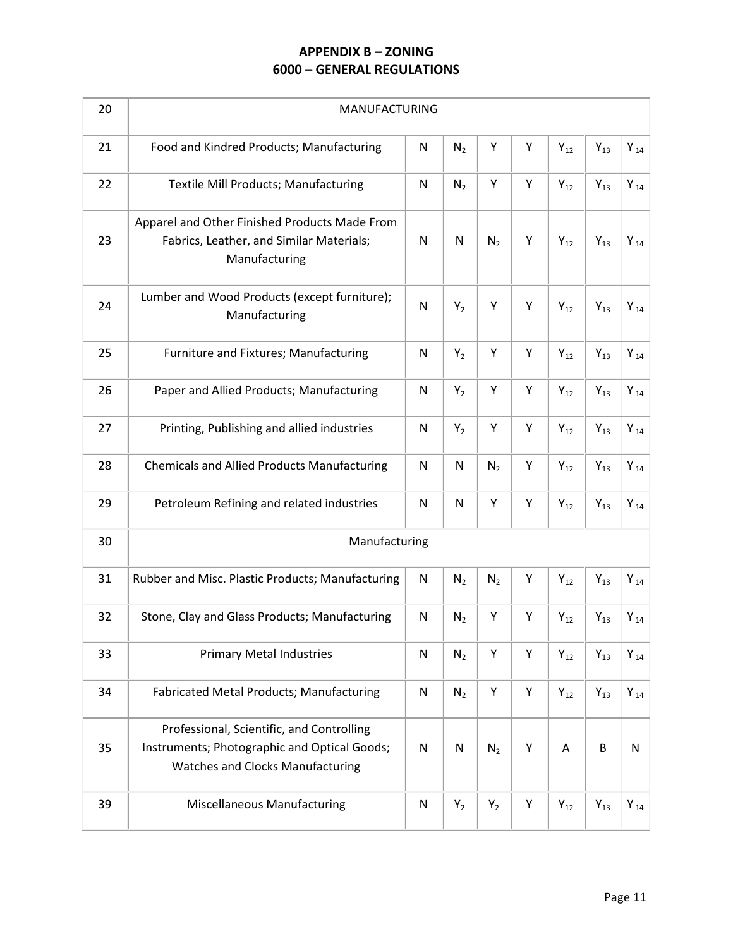| 20 | MANUFACTURING                                                                                                                        |              |                |                |   |                   |                   |                     |
|----|--------------------------------------------------------------------------------------------------------------------------------------|--------------|----------------|----------------|---|-------------------|-------------------|---------------------|
| 21 | Food and Kindred Products; Manufacturing                                                                                             | N            | N <sub>2</sub> | Υ              | Υ | $Y_{12}$          | $Y_{13}$          | $Y_{14}$            |
| 22 | <b>Textile Mill Products; Manufacturing</b>                                                                                          | ${\sf N}$    | N <sub>2</sub> | Υ              | Υ | $\mathsf{Y}_{12}$ | $Y_{13}$          | $\mathsf{Y}_{\,14}$ |
| 23 | Apparel and Other Finished Products Made From<br>Fabrics, Leather, and Similar Materials;<br>Manufacturing                           | N            | N              | N <sub>2</sub> | Υ | $Y_{12}$          | $Y_{13}$          | $Y_{14}$            |
| 24 | Lumber and Wood Products (except furniture);<br>Manufacturing                                                                        | $\mathsf{N}$ | $Y_2$          | Υ              | Υ | $Y_{12}$          | $Y_{13}$          | $\mathsf{Y}_{\,14}$ |
| 25 | Furniture and Fixtures; Manufacturing                                                                                                | $\mathsf{N}$ | $Y_2$          | Υ              | Υ | $Y_{12}$          | $Y_{13}$          | $Y_{14}$            |
| 26 | Paper and Allied Products; Manufacturing                                                                                             | N            | $Y_2$          | Υ              | Υ | $Y_{12}$          | $Y_{13}$          | $Y_{14}$            |
| 27 | Printing, Publishing and allied industries                                                                                           | ${\sf N}$    | $Y_2$          | Υ              | Υ | $Y_{12}$          | $Y_{13}$          | $Y_{14}$            |
| 28 | <b>Chemicals and Allied Products Manufacturing</b>                                                                                   | N            | N              | $N_2$          | Υ | $Y_{12}$          | $Y_{13}$          | $\mathsf{Y}_{\,14}$ |
| 29 | Petroleum Refining and related industries                                                                                            | $\mathsf{N}$ | ${\sf N}$      | Υ              | Υ | $Y_{12}$          | $\mathsf{Y}_{13}$ | $Y_{14}$            |
| 30 | Manufacturing                                                                                                                        |              |                |                |   |                   |                   |                     |
| 31 | Rubber and Misc. Plastic Products; Manufacturing                                                                                     | ${\sf N}$    | N <sub>2</sub> | N <sub>2</sub> | Υ | $Y_{12}$          | $Y_{13}$          | $Y_{14}$            |
| 32 | Stone, Clay and Glass Products; Manufacturing                                                                                        | N            | N <sub>2</sub> | Υ              | Υ | $Y_{12}$          | $Y_{13}$          | $Y_{14}$            |
| 33 | <b>Primary Metal Industries</b>                                                                                                      | ${\sf N}$    | N <sub>2</sub> | Υ              | Υ | $Y_{12}$          | $Y_{13}$          | $\mathsf{Y}_{\,14}$ |
| 34 | <b>Fabricated Metal Products; Manufacturing</b>                                                                                      | $\mathsf{N}$ | N <sub>2</sub> | Υ              | Υ | $Y_{12}$          | $Y_{13}$          | $Y_{14}$            |
| 35 | Professional, Scientific, and Controlling<br>Instruments; Photographic and Optical Goods;<br><b>Watches and Clocks Manufacturing</b> | ${\sf N}$    | ${\sf N}$      | N <sub>2</sub> | Υ | Α                 | $\sf B$           | ${\sf N}$           |
| 39 | <b>Miscellaneous Manufacturing</b>                                                                                                   | ${\sf N}$    | $Y_2$          | $Y_2$          | Υ | $Y_{12}$          | $Y_{13}$          | $Y_{14}$            |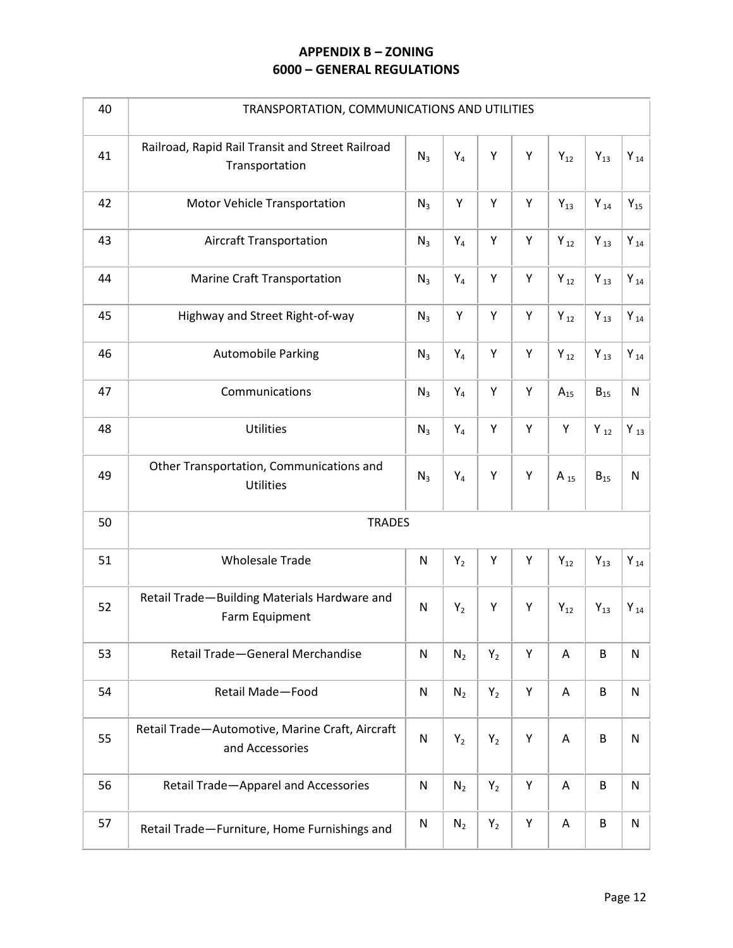| 40 | TRANSPORTATION, COMMUNICATIONS AND UTILITIES                       |              |                |       |   |                     |                   |                     |
|----|--------------------------------------------------------------------|--------------|----------------|-------|---|---------------------|-------------------|---------------------|
| 41 | Railroad, Rapid Rail Transit and Street Railroad<br>Transportation | $N_3$        | $Y_4$          | Υ     | Υ | $Y_{12}$            | $Y_{13}$          | $Y_{14}$            |
| 42 | Motor Vehicle Transportation                                       | $N_3$        | Υ              | Υ     | Υ | $Y_{13}$            | $Y_{14}$          | $Y_{15}$            |
| 43 | <b>Aircraft Transportation</b>                                     | $N_3$        | $Y_4$          | Υ     | Υ | $Y_{12}$            | $\mathsf{Y}_{13}$ | $\mathsf{Y}_{\,14}$ |
| 44 | Marine Craft Transportation                                        | $N_3$        | $\mathsf{Y}_4$ | Υ     | Υ | $Y_{12}$            | $Y_{13}$          | $Y_{14}$            |
| 45 | Highway and Street Right-of-way                                    | $N_3$        | Υ              | Υ     | Υ | $Y_{12}$            | $Y_{13}$          | $Y_{14}$            |
| 46 | <b>Automobile Parking</b>                                          | $N_3$        | $Y_4$          | Υ     | Υ | $\mathsf{Y}_{\,12}$ | $Y_{13}$          | $Y_{14}$            |
| 47 | Communications                                                     | $N_3$        | $Y_4$          | Υ     | Υ | $A_{15}$            | $B_{15}$          | ${\sf N}$           |
| 48 | Utilities                                                          | $N_3$        | $Y_4$          | Υ     | Υ | Υ                   | $Y_{12}$          | $Y_{13}$            |
| 49 | Other Transportation, Communications and<br>Utilities              | $N_3$        | $Y_4$          | Υ     | Υ | $A_{15}$            | $B_{15}$          | ${\sf N}$           |
| 50 | <b>TRADES</b>                                                      |              |                |       |   |                     |                   |                     |
| 51 | <b>Wholesale Trade</b>                                             | ${\sf N}$    | $Y_2$          | Υ     | Υ | $Y_{12}$            | $Y_{13}$          | $Y_{14}$            |
| 52 | Retail Trade-Building Materials Hardware and<br>Farm Equipment     | $\mathsf{N}$ | $Y_2$          | Υ     | Y | $Y_{12}$            | $Y_{13}$          | $Y_{14}$            |
| 53 | Retail Trade-General Merchandise                                   | ${\sf N}$    | $N_2$          | $Y_2$ | Υ | Α                   | $\sf B$           | ${\sf N}$           |
| 54 | <b>Retail Made-Food</b>                                            | ${\sf N}$    | $N_2$          | $Y_2$ | Υ | Α                   | $\sf B$           | ${\sf N}$           |
| 55 | Retail Trade-Automotive, Marine Craft, Aircraft<br>and Accessories | ${\sf N}$    | $Y_2$          | $Y_2$ | Υ | Α                   | B                 | ${\sf N}$           |
| 56 | Retail Trade-Apparel and Accessories                               | ${\sf N}$    | $N_2$          | $Y_2$ | Υ | A                   | $\sf B$           | ${\sf N}$           |
| 57 | Retail Trade-Furniture, Home Furnishings and                       | ${\sf N}$    | $N_2$          | $Y_2$ | Y | A                   | $\sf B$           | ${\sf N}$           |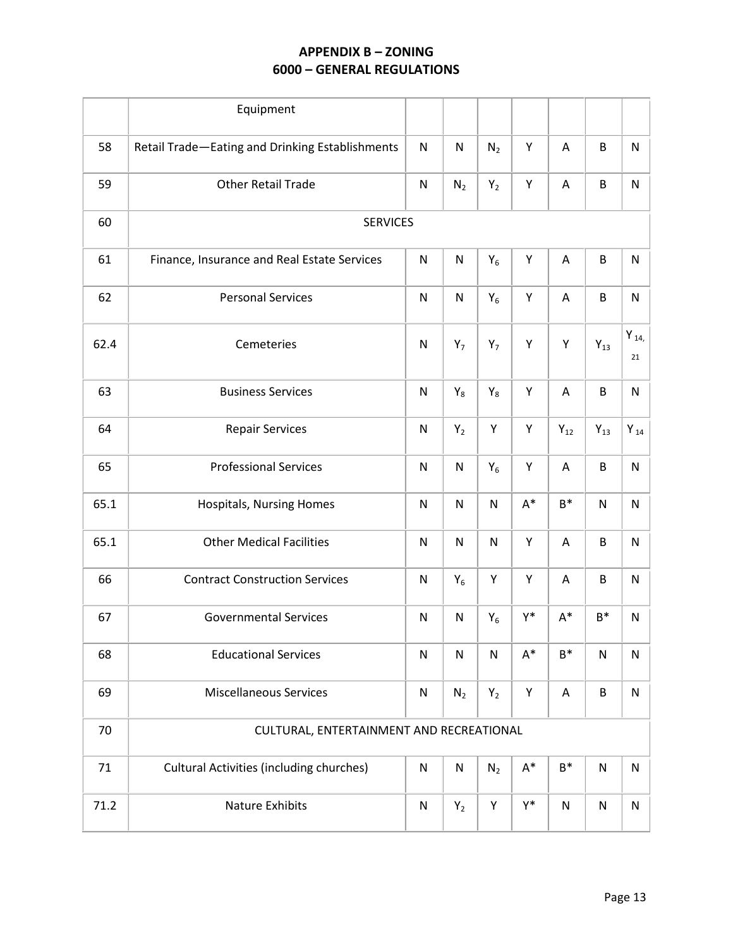|      | Equipment                                       |              |                |                |                |                |           |                 |
|------|-------------------------------------------------|--------------|----------------|----------------|----------------|----------------|-----------|-----------------|
| 58   | Retail Trade-Eating and Drinking Establishments | ${\sf N}$    | ${\sf N}$      | N <sub>2</sub> | Y              | Α              | B         | N               |
| 59   | <b>Other Retail Trade</b>                       | ${\sf N}$    | N <sub>2</sub> | $Y_2$          | Υ              | A              | B         | N               |
| 60   | <b>SERVICES</b>                                 |              |                |                |                |                |           |                 |
| 61   | Finance, Insurance and Real Estate Services     | N            | N              | $Y_6$          | Υ              | Α              | B         | N               |
| 62   | <b>Personal Services</b>                        | ${\sf N}$    | N              | $Y_6$          | Υ              | Α              | $\sf B$   | ${\sf N}$       |
| 62.4 | Cemeteries                                      | $\mathsf{N}$ | $Y_7$          | $Y_7$          | Y              | Υ              | $Y_{13}$  | Y $_{14}$<br>21 |
| 63   | <b>Business Services</b>                        | ${\sf N}$    | $\mathsf{Y}_8$ | $Y_8$          | Υ              | A              | $\sf B$   | N               |
| 64   | <b>Repair Services</b>                          | ${\sf N}$    | $Y_2$          | Υ              | Υ              | $Y_{12}$       | $Y_{13}$  | $Y_{14}$        |
| 65   | <b>Professional Services</b>                    | $\mathsf{N}$ | N              | $Y_6$          | Υ              | A              | $\sf B$   | N               |
| 65.1 | Hospitals, Nursing Homes                        | N            | ${\sf N}$      | N              | $A^*$          | $B^*$          | ${\sf N}$ | N               |
| 65.1 | <b>Other Medical Facilities</b>                 | ${\sf N}$    | $\mathsf{N}$   | ${\sf N}$      | Υ              | A              | B         | N               |
| 66   | <b>Contract Construction Services</b>           | ${\sf N}$    | $Y_6$          | Υ              | Υ              | A              | B         | N               |
| 67   | <b>Governmental Services</b>                    | ${\sf N}$    | N              | $Y_6$          | Y*             | $A^*$          | $B^*$     | N               |
| 68   | <b>Educational Services</b>                     | ${\sf N}$    | ${\sf N}$      | N              | $A^*$          | $B^*$          | N         | N               |
| 69   | <b>Miscellaneous Services</b>                   | ${\sf N}$    | $N_2$          | $Y_2$          | Υ              | A              | B         | ${\sf N}$       |
| 70   | CULTURAL, ENTERTAINMENT AND RECREATIONAL        |              |                |                |                |                |           |                 |
| 71   | <b>Cultural Activities (including churches)</b> | ${\sf N}$    | ${\sf N}$      | $N_2$          | $\mathsf{A}^*$ | $\mathsf{B}^*$ | ${\sf N}$ | ${\sf N}$       |
| 71.2 | Nature Exhibits                                 | ${\sf N}$    | $\mathsf{Y}_2$ | Υ              | Y*             | N              | N         | N               |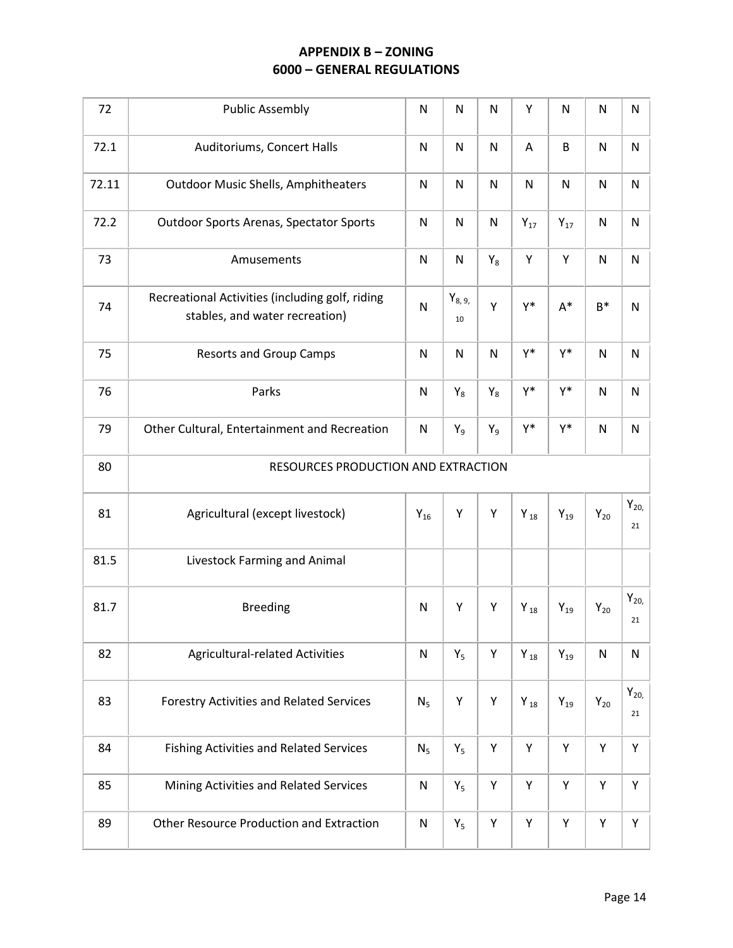| 72    | <b>Public Assembly</b>                                                            | $\mathsf{N}$   | ${\sf N}$           | $\mathsf{N}$ | Υ            | ${\sf N}$         | $\mathsf{N}$ | N                        |
|-------|-----------------------------------------------------------------------------------|----------------|---------------------|--------------|--------------|-------------------|--------------|--------------------------|
| 72.1  | Auditoriums, Concert Halls                                                        | $\mathsf{N}$   | ${\sf N}$           | ${\sf N}$    | A            | B                 | $\mathsf{N}$ | ${\sf N}$                |
| 72.11 | <b>Outdoor Music Shells, Amphitheaters</b>                                        | $\mathsf{N}$   | $\mathsf{N}$        | N            | $\mathsf{N}$ | $\mathsf{N}$      | $\mathsf{N}$ | ${\sf N}$                |
| 72.2  | <b>Outdoor Sports Arenas, Spectator Sports</b>                                    | $\mathsf{N}$   | $\mathsf{N}$        | N            | $Y_{17}$     | $Y_{17}$          | $\mathsf{N}$ | ${\sf N}$                |
| 73    | Amusements                                                                        | $\mathsf{N}$   | ${\sf N}$           | $Y_8$        | Υ            | Υ                 | $\mathsf{N}$ | N                        |
| 74    | Recreational Activities (including golf, riding<br>stables, and water recreation) | N              | $Y_{8, 9, 9}$<br>10 | Y            | Y*           | $A^*$             | $B^*$        | ${\sf N}$                |
| 75    | <b>Resorts and Group Camps</b>                                                    | $\mathsf{N}$   | ${\sf N}$           | ${\sf N}$    | Y*           | Y*                | $\mathsf{N}$ | N                        |
| 76    | Parks                                                                             | ${\sf N}$      | $Y_8$               | $Y_8$        | Y*           | Y*                | $\mathsf{N}$ | N                        |
| 79    | Other Cultural, Entertainment and Recreation                                      | $Y_9$          | $Y_9$               | Y*           | Y*           | $\mathsf{N}$      | ${\sf N}$    |                          |
| 80    | RESOURCES PRODUCTION AND EXTRACTION                                               |                |                     |              |              |                   |              |                          |
| 81    | Agricultural (except livestock)                                                   | $Y_{16}$       | Υ                   | Υ            | $Y_{18}$     | $Y_{19}$          | $Y_{20}$     | $Y_{20}$<br>21           |
| 81.5  | Livestock Farming and Animal                                                      |                |                     |              |              |                   |              |                          |
| 81.7  | <b>Breeding</b>                                                                   | N              | Υ                   | Υ            | $Y_{18}$     | $\mathsf{Y}_{19}$ | $Y_{20}$     | $\mathsf{Y}_{20,}$<br>21 |
| 82    | <b>Agricultural-related Activities</b>                                            | $\mathsf{N}$   | $Y_5$               | Υ            | $Y_{18}$     | $Y_{19}$          | ${\sf N}$    | ${\sf N}$                |
| 83    | Forestry Activities and Related Services                                          | N <sub>5</sub> | Υ                   | Υ            | $Y_{18}$     | $Y_{19}$          | $Y_{20}$     | $Y_{20}$<br>21           |
| 84    | <b>Fishing Activities and Related Services</b>                                    | N <sub>5</sub> | $Y_5$               | Υ            | Υ            | Υ                 | Υ            | Υ                        |
| 85    | Mining Activities and Related Services                                            | ${\sf N}$      | $Y_5$               | Υ            | Υ            | Υ                 | Υ            | Υ                        |
| 89    | <b>Other Resource Production and Extraction</b>                                   | ${\sf N}$      | $Y_5$               | Υ            | Υ            | Υ                 | Υ            | Υ                        |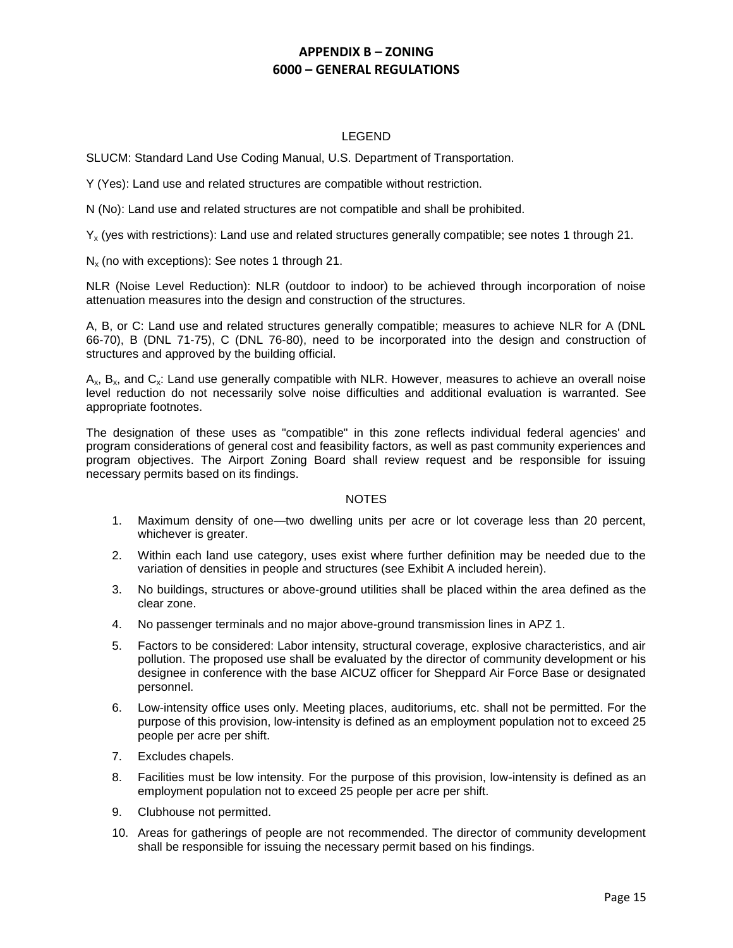## LEGEND

SLUCM: Standard Land Use Coding Manual, U.S. Department of Transportation.

Y (Yes): Land use and related structures are compatible without restriction.

N (No): Land use and related structures are not compatible and shall be prohibited.

 $Y_x$  (yes with restrictions): Land use and related structures generally compatible; see notes 1 through 21.

 $N_{x}$  (no with exceptions): See notes 1 through 21.

NLR (Noise Level Reduction): NLR (outdoor to indoor) to be achieved through incorporation of noise attenuation measures into the design and construction of the structures.

A, B, or C: Land use and related structures generally compatible; measures to achieve NLR for A (DNL 66-70), B (DNL 71-75), C (DNL 76-80), need to be incorporated into the design and construction of structures and approved by the building official.

 $A_{x}$ ,  $B_{x}$ , and  $C_{x}$ : Land use generally compatible with NLR. However, measures to achieve an overall noise level reduction do not necessarily solve noise difficulties and additional evaluation is warranted. See appropriate footnotes.

The designation of these uses as "compatible" in this zone reflects individual federal agencies' and program considerations of general cost and feasibility factors, as well as past community experiences and program objectives. The Airport Zoning Board shall review request and be responsible for issuing necessary permits based on its findings.

#### **NOTES**

- 1. Maximum density of one—two dwelling units per acre or lot coverage less than 20 percent, whichever is greater.
- 2. Within each land use category, uses exist where further definition may be needed due to the variation of densities in people and structures (see Exhibit A included herein).
- 3. No buildings, structures or above-ground utilities shall be placed within the area defined as the clear zone.
- 4. No passenger terminals and no major above-ground transmission lines in APZ 1.
- 5. Factors to be considered: Labor intensity, structural coverage, explosive characteristics, and air pollution. The proposed use shall be evaluated by the director of community development or his designee in conference with the base AICUZ officer for Sheppard Air Force Base or designated personnel.
- 6. Low-intensity office uses only. Meeting places, auditoriums, etc. shall not be permitted. For the purpose of this provision, low-intensity is defined as an employment population not to exceed 25 people per acre per shift.
- 7. Excludes chapels.
- 8. Facilities must be low intensity. For the purpose of this provision, low-intensity is defined as an employment population not to exceed 25 people per acre per shift.
- 9. Clubhouse not permitted.
- 10. Areas for gatherings of people are not recommended. The director of community development shall be responsible for issuing the necessary permit based on his findings.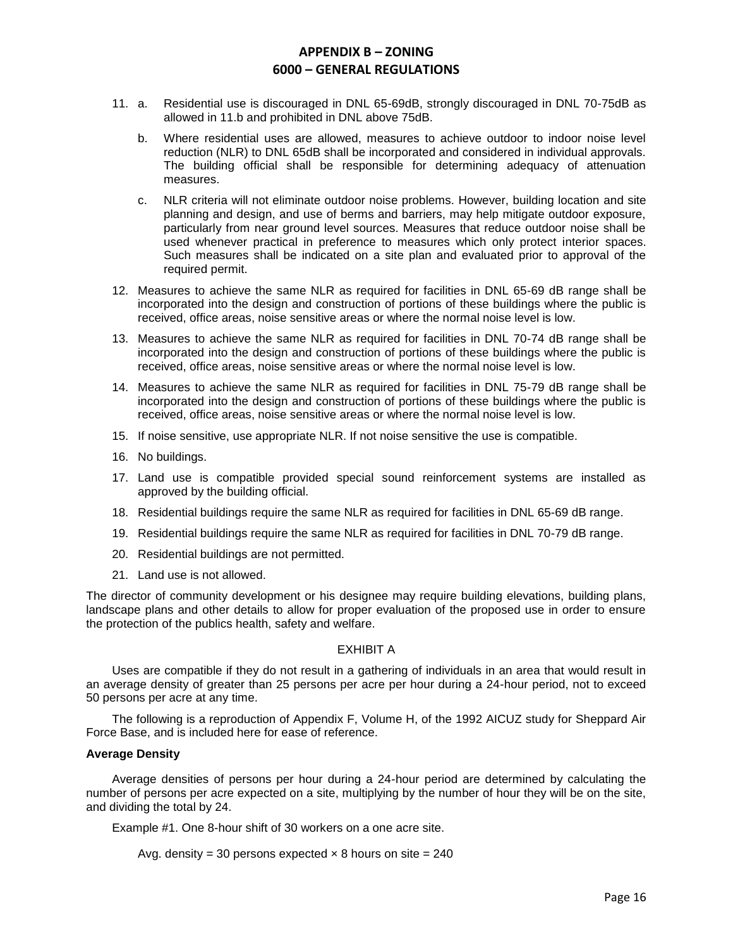- 11. a. Residential use is discouraged in DNL 65-69dB, strongly discouraged in DNL 70-75dB as allowed in 11.b and prohibited in DNL above 75dB.
	- b. Where residential uses are allowed, measures to achieve outdoor to indoor noise level reduction (NLR) to DNL 65dB shall be incorporated and considered in individual approvals. The building official shall be responsible for determining adequacy of attenuation measures.
	- c. NLR criteria will not eliminate outdoor noise problems. However, building location and site planning and design, and use of berms and barriers, may help mitigate outdoor exposure, particularly from near ground level sources. Measures that reduce outdoor noise shall be used whenever practical in preference to measures which only protect interior spaces. Such measures shall be indicated on a site plan and evaluated prior to approval of the required permit.
- 12. Measures to achieve the same NLR as required for facilities in DNL 65-69 dB range shall be incorporated into the design and construction of portions of these buildings where the public is received, office areas, noise sensitive areas or where the normal noise level is low.
- 13. Measures to achieve the same NLR as required for facilities in DNL 70-74 dB range shall be incorporated into the design and construction of portions of these buildings where the public is received, office areas, noise sensitive areas or where the normal noise level is low.
- 14. Measures to achieve the same NLR as required for facilities in DNL 75-79 dB range shall be incorporated into the design and construction of portions of these buildings where the public is received, office areas, noise sensitive areas or where the normal noise level is low.
- 15. If noise sensitive, use appropriate NLR. If not noise sensitive the use is compatible.
- 16. No buildings.
- 17. Land use is compatible provided special sound reinforcement systems are installed as approved by the building official.
- 18. Residential buildings require the same NLR as required for facilities in DNL 65-69 dB range.
- 19. Residential buildings require the same NLR as required for facilities in DNL 70-79 dB range.
- 20. Residential buildings are not permitted.
- 21. Land use is not allowed.

The director of community development or his designee may require building elevations, building plans, landscape plans and other details to allow for proper evaluation of the proposed use in order to ensure the protection of the publics health, safety and welfare.

#### EXHIBIT A

Uses are compatible if they do not result in a gathering of individuals in an area that would result in an average density of greater than 25 persons per acre per hour during a 24-hour period, not to exceed 50 persons per acre at any time.

The following is a reproduction of Appendix F, Volume H, of the 1992 AICUZ study for Sheppard Air Force Base, and is included here for ease of reference.

## **Average Density**

Average densities of persons per hour during a 24-hour period are determined by calculating the number of persons per acre expected on a site, multiplying by the number of hour they will be on the site, and dividing the total by 24.

Example #1. One 8-hour shift of 30 workers on a one acre site.

Avg. density = 30 persons expected  $\times$  8 hours on site = 240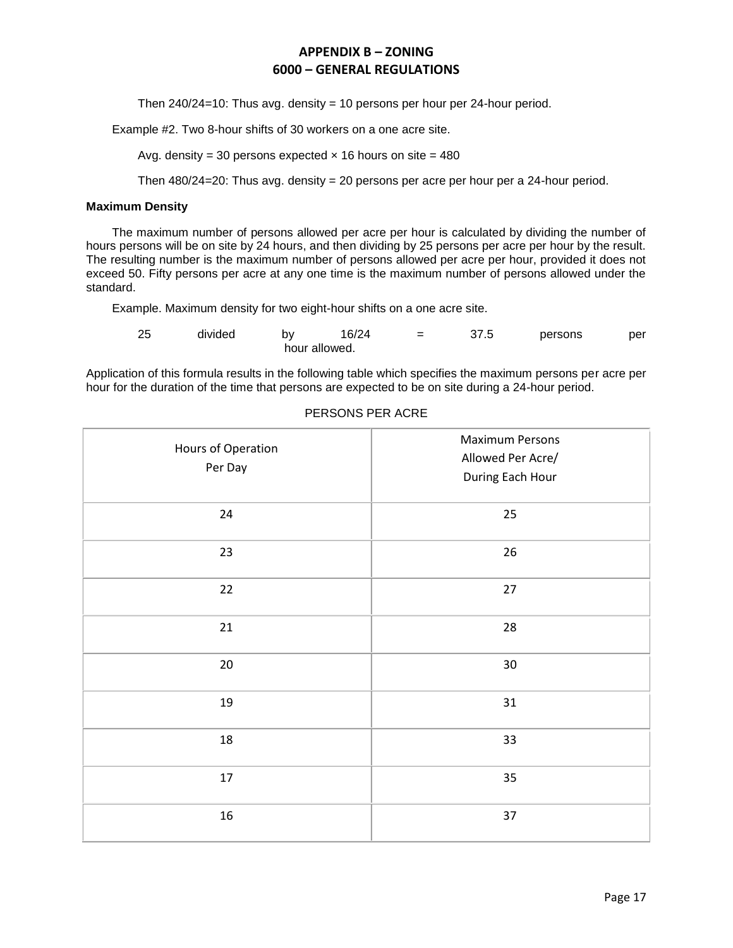Then 240/24=10: Thus avg. density = 10 persons per hour per 24-hour period.

Example #2. Two 8-hour shifts of 30 workers on a one acre site.

Avg. density = 30 persons expected  $\times$  16 hours on site = 480

Then  $480/24=20$ : Thus avg. density = 20 persons per acre per hour per a 24-hour period.

#### **Maximum Density**

The maximum number of persons allowed per acre per hour is calculated by dividing the number of hours persons will be on site by 24 hours, and then dividing by 25 persons per acre per hour by the result. The resulting number is the maximum number of persons allowed per acre per hour, provided it does not exceed 50. Fifty persons per acre at any one time is the maximum number of persons allowed under the standard.

Example. Maximum density for two eight-hour shifts on a one acre site.

| -25 | divided | b٧            | 16/24 | $=$ | 37.5 | persons | per |
|-----|---------|---------------|-------|-----|------|---------|-----|
|     |         | hour allowed. |       |     |      |         |     |

Application of this formula results in the following table which specifies the maximum persons per acre per hour for the duration of the time that persons are expected to be on site during a 24-hour period.

| Hours of Operation<br>Per Day | <b>Maximum Persons</b><br>Allowed Per Acre/<br>During Each Hour |
|-------------------------------|-----------------------------------------------------------------|
| 24                            | 25                                                              |
| 23                            | 26                                                              |
| 22                            | 27                                                              |
| 21                            | 28                                                              |
| 20                            | $30\,$                                                          |
| 19                            | 31                                                              |
| 18                            | 33                                                              |
| $17\,$                        | 35                                                              |
| $16\,$                        | 37                                                              |

### PERSONS PER ACRE